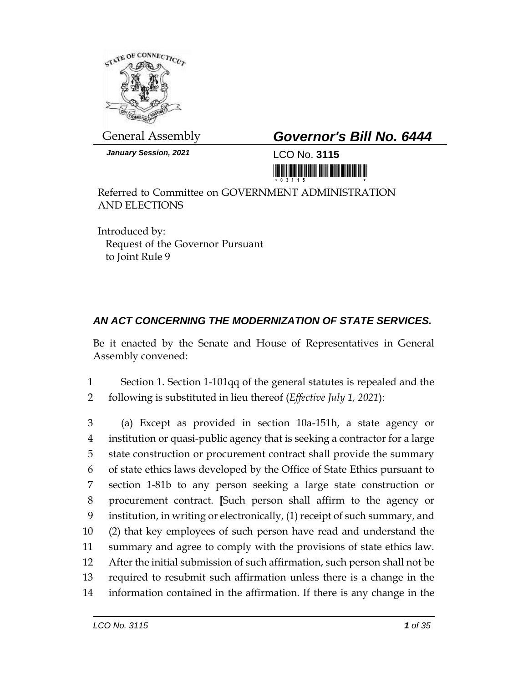

*January Session, 2021* LCO No. **3115**

General Assembly *Governor's Bill No. 6444*

<u>ni koʻzibili bir orumumumumi </u>

Referred to Committee on GOVERNMENT ADMINISTRATION AND ELECTIONS

Introduced by: Request of the Governor Pursuant to Joint Rule 9

## *AN ACT CONCERNING THE MODERNIZATION OF STATE SERVICES.*

Be it enacted by the Senate and House of Representatives in General Assembly convened:

1 Section 1. Section 1-101qq of the general statutes is repealed and the 2 following is substituted in lieu thereof (*Effective July 1, 2021*):

 (a) Except as provided in section 10a-151h, a state agency or institution or quasi-public agency that is seeking a contractor for a large state construction or procurement contract shall provide the summary of state ethics laws developed by the Office of State Ethics pursuant to section 1-81b to any person seeking a large state construction or procurement contract. **[**Such person shall affirm to the agency or institution, in writing or electronically, (1) receipt of such summary, and (2) that key employees of such person have read and understand the summary and agree to comply with the provisions of state ethics law. After the initial submission of such affirmation, such person shall not be required to resubmit such affirmation unless there is a change in the information contained in the affirmation. If there is any change in the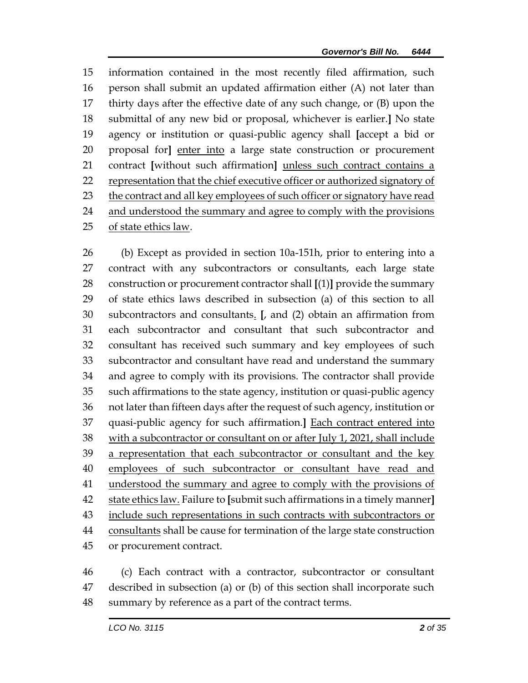information contained in the most recently filed affirmation, such person shall submit an updated affirmation either (A) not later than thirty days after the effective date of any such change, or (B) upon the submittal of any new bid or proposal, whichever is earlier.**]** No state agency or institution or quasi-public agency shall **[**accept a bid or proposal for**]** enter into a large state construction or procurement contract **[**without such affirmation**]** unless such contract contains a representation that the chief executive officer or authorized signatory of 23 the contract and all key employees of such officer or signatory have read 24 and understood the summary and agree to comply with the provisions of state ethics law.

 (b) Except as provided in section 10a-151h, prior to entering into a 27 contract with any subcontractors or consultants, each large state construction or procurement contractor shall **[**(1)**]** provide the summary of state ethics laws described in subsection (a) of this section to all subcontractors and consultants. **[**, and (2) obtain an affirmation from each subcontractor and consultant that such subcontractor and consultant has received such summary and key employees of such subcontractor and consultant have read and understand the summary and agree to comply with its provisions. The contractor shall provide such affirmations to the state agency, institution or quasi-public agency not later than fifteen days after the request of such agency, institution or quasi-public agency for such affirmation.**]** Each contract entered into with a subcontractor or consultant on or after July 1, 2021, shall include 39 a representation that each subcontractor or consultant and the key 40 employees of such subcontractor or consultant have read and 41 understood the summary and agree to comply with the provisions of state ethics law. Failure to **[**submit such affirmations in a timely manner**]** include such representations in such contracts with subcontractors or 44 consultants shall be cause for termination of the large state construction or procurement contract.

 (c) Each contract with a contractor, subcontractor or consultant described in subsection (a) or (b) of this section shall incorporate such summary by reference as a part of the contract terms.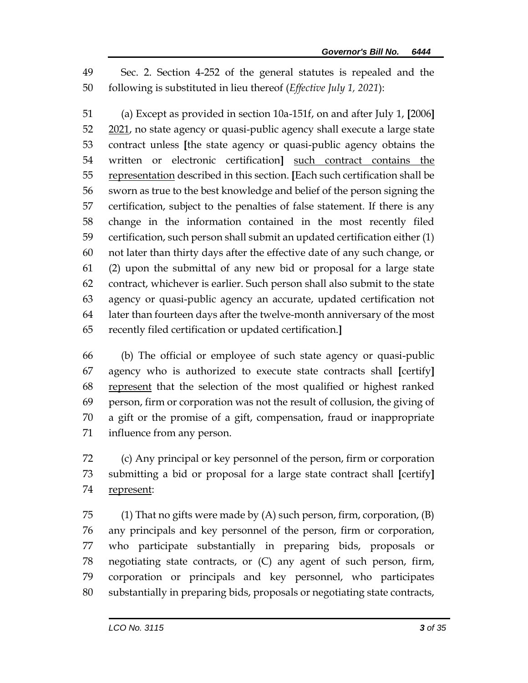Sec. 2. Section 4-252 of the general statutes is repealed and the following is substituted in lieu thereof (*Effective July 1, 2021*):

 (a) Except as provided in section 10a-151f, on and after July 1, **[**2006**]** 2021, no state agency or quasi-public agency shall execute a large state contract unless **[**the state agency or quasi-public agency obtains the written or electronic certification**]** such contract contains the representation described in this section. **[**Each such certification shall be sworn as true to the best knowledge and belief of the person signing the certification, subject to the penalties of false statement. If there is any change in the information contained in the most recently filed certification, such person shall submit an updated certification either (1) not later than thirty days after the effective date of any such change, or (2) upon the submittal of any new bid or proposal for a large state contract, whichever is earlier. Such person shall also submit to the state agency or quasi-public agency an accurate, updated certification not later than fourteen days after the twelve-month anniversary of the most recently filed certification or updated certification.**]**

 (b) The official or employee of such state agency or quasi-public agency who is authorized to execute state contracts shall **[**certify**]** 68 represent that the selection of the most qualified or highest ranked person, firm or corporation was not the result of collusion, the giving of a gift or the promise of a gift, compensation, fraud or inappropriate influence from any person.

 (c) Any principal or key personnel of the person, firm or corporation submitting a bid or proposal for a large state contract shall **[**certify**]** represent:

75 (1) That no gifts were made by  $(A)$  such person, firm, corporation,  $(B)$  any principals and key personnel of the person, firm or corporation, who participate substantially in preparing bids, proposals or negotiating state contracts, or (C) any agent of such person, firm, corporation or principals and key personnel, who participates substantially in preparing bids, proposals or negotiating state contracts,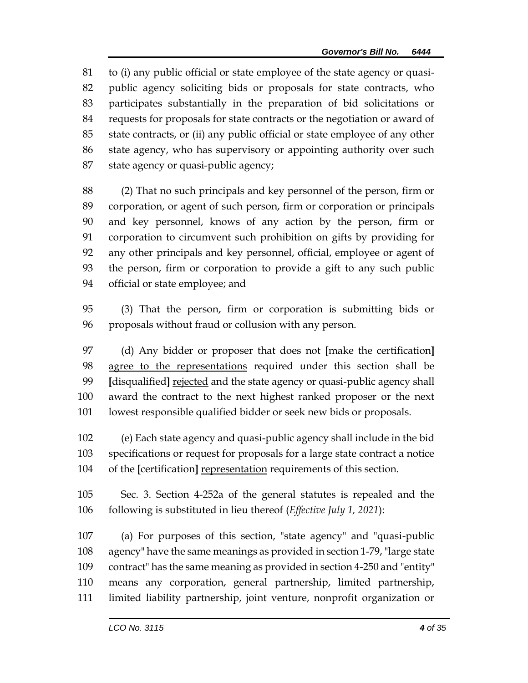to (i) any public official or state employee of the state agency or quasi- public agency soliciting bids or proposals for state contracts, who participates substantially in the preparation of bid solicitations or requests for proposals for state contracts or the negotiation or award of state contracts, or (ii) any public official or state employee of any other state agency, who has supervisory or appointing authority over such state agency or quasi-public agency;

 (2) That no such principals and key personnel of the person, firm or corporation, or agent of such person, firm or corporation or principals and key personnel, knows of any action by the person, firm or corporation to circumvent such prohibition on gifts by providing for any other principals and key personnel, official, employee or agent of the person, firm or corporation to provide a gift to any such public official or state employee; and

 (3) That the person, firm or corporation is submitting bids or proposals without fraud or collusion with any person.

 (d) Any bidder or proposer that does not **[**make the certification**]** agree to the representations required under this section shall be **[**disqualified**]** rejected and the state agency or quasi-public agency shall award the contract to the next highest ranked proposer or the next lowest responsible qualified bidder or seek new bids or proposals.

- (e) Each state agency and quasi-public agency shall include in the bid specifications or request for proposals for a large state contract a notice of the **[**certification**]** representation requirements of this section.
- Sec. 3. Section 4-252a of the general statutes is repealed and the following is substituted in lieu thereof (*Effective July 1, 2021*):

 (a) For purposes of this section, "state agency" and "quasi-public agency" have the same meanings as provided in section 1-79, "large state contract" has the same meaning as provided in section 4-250 and "entity" means any corporation, general partnership, limited partnership, limited liability partnership, joint venture, nonprofit organization or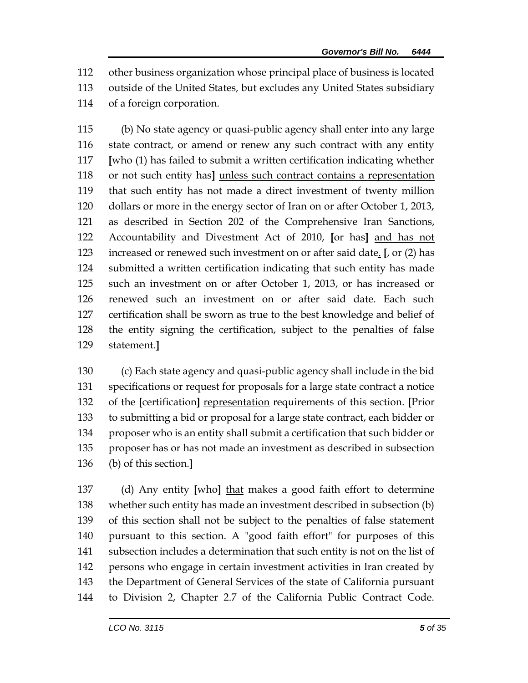other business organization whose principal place of business is located outside of the United States, but excludes any United States subsidiary of a foreign corporation.

 (b) No state agency or quasi-public agency shall enter into any large state contract, or amend or renew any such contract with any entity **[**who (1) has failed to submit a written certification indicating whether or not such entity has**]** unless such contract contains a representation 119 that such entity has not made a direct investment of twenty million dollars or more in the energy sector of Iran on or after October 1, 2013, as described in Section 202 of the Comprehensive Iran Sanctions, Accountability and Divestment Act of 2010, **[**or has**]** and has not increased or renewed such investment on or after said date. **[**, or (2) has submitted a written certification indicating that such entity has made such an investment on or after October 1, 2013, or has increased or renewed such an investment on or after said date. Each such certification shall be sworn as true to the best knowledge and belief of the entity signing the certification, subject to the penalties of false statement.**]**

 (c) Each state agency and quasi-public agency shall include in the bid specifications or request for proposals for a large state contract a notice of the **[**certification**]** representation requirements of this section. **[**Prior to submitting a bid or proposal for a large state contract, each bidder or proposer who is an entity shall submit a certification that such bidder or proposer has or has not made an investment as described in subsection (b) of this section.**]**

 (d) Any entity **[**who**]** that makes a good faith effort to determine whether such entity has made an investment described in subsection (b) of this section shall not be subject to the penalties of false statement pursuant to this section. A "good faith effort" for purposes of this subsection includes a determination that such entity is not on the list of persons who engage in certain investment activities in Iran created by the Department of General Services of the state of California pursuant to Division 2, Chapter 2.7 of the California Public Contract Code.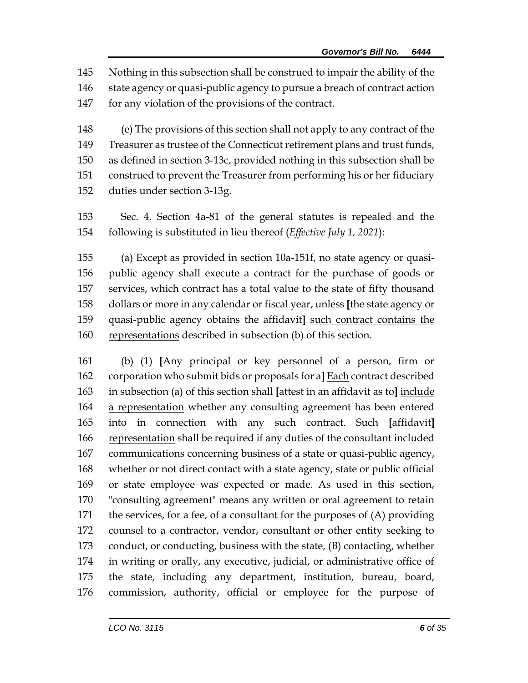Nothing in this subsection shall be construed to impair the ability of the state agency or quasi-public agency to pursue a breach of contract action for any violation of the provisions of the contract.

 (e) The provisions of this section shall not apply to any contract of the Treasurer as trustee of the Connecticut retirement plans and trust funds, as defined in section 3-13c, provided nothing in this subsection shall be construed to prevent the Treasurer from performing his or her fiduciary duties under section 3-13g.

 Sec. 4. Section 4a-81 of the general statutes is repealed and the following is substituted in lieu thereof (*Effective July 1, 2021*):

 (a) Except as provided in section 10a-151f, no state agency or quasi- public agency shall execute a contract for the purchase of goods or services, which contract has a total value to the state of fifty thousand dollars or more in any calendar or fiscal year, unless **[**the state agency or quasi-public agency obtains the affidavit**]** such contract contains the representations described in subsection (b) of this section.

 (b) (1) **[**Any principal or key personnel of a person, firm or corporation who submit bids or proposals for a**]** Each contract described in subsection (a) of this section shall **[**attest in an affidavit as to**]** include 164 a representation whether any consulting agreement has been entered into in connection with any such contract. Such **[**affidavit**]** 166 representation shall be required if any duties of the consultant included communications concerning business of a state or quasi-public agency, whether or not direct contact with a state agency, state or public official or state employee was expected or made. As used in this section, "consulting agreement" means any written or oral agreement to retain the services, for a fee, of a consultant for the purposes of (A) providing counsel to a contractor, vendor, consultant or other entity seeking to conduct, or conducting, business with the state, (B) contacting, whether in writing or orally, any executive, judicial, or administrative office of the state, including any department, institution, bureau, board, commission, authority, official or employee for the purpose of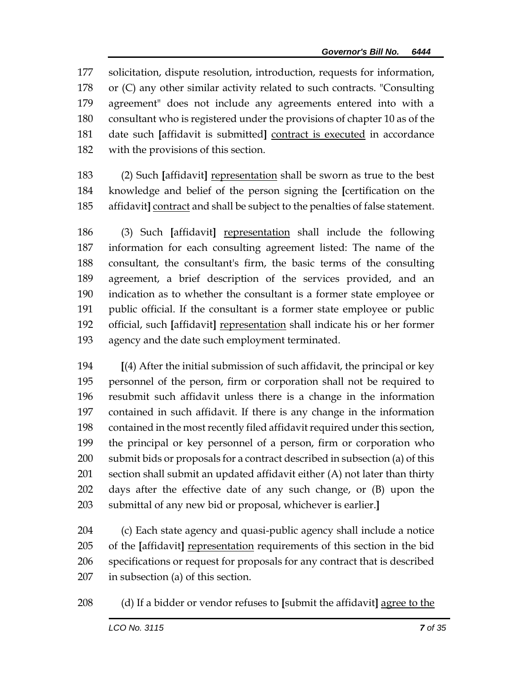solicitation, dispute resolution, introduction, requests for information, or (C) any other similar activity related to such contracts. "Consulting agreement" does not include any agreements entered into with a consultant who is registered under the provisions of chapter 10 as of the date such **[**affidavit is submitted**]** contract is executed in accordance with the provisions of this section.

 (2) Such **[**affidavit**]** representation shall be sworn as true to the best knowledge and belief of the person signing the **[**certification on the affidavit**]** contract and shall be subject to the penalties of false statement.

 (3) Such **[**affidavit**]** representation shall include the following information for each consulting agreement listed: The name of the consultant, the consultant's firm, the basic terms of the consulting agreement, a brief description of the services provided, and an indication as to whether the consultant is a former state employee or public official. If the consultant is a former state employee or public official, such **[**affidavit**]** representation shall indicate his or her former agency and the date such employment terminated.

 **[**(4) After the initial submission of such affidavit, the principal or key personnel of the person, firm or corporation shall not be required to resubmit such affidavit unless there is a change in the information contained in such affidavit. If there is any change in the information contained in the most recently filed affidavit required under this section, the principal or key personnel of a person, firm or corporation who submit bids or proposals for a contract described in subsection (a) of this section shall submit an updated affidavit either (A) not later than thirty days after the effective date of any such change, or (B) upon the submittal of any new bid or proposal, whichever is earlier.**]**

 (c) Each state agency and quasi-public agency shall include a notice of the **[**affidavit**]** representation requirements of this section in the bid specifications or request for proposals for any contract that is described in subsection (a) of this section.

(d) If a bidder or vendor refuses to **[**submit the affidavit**]** agree to the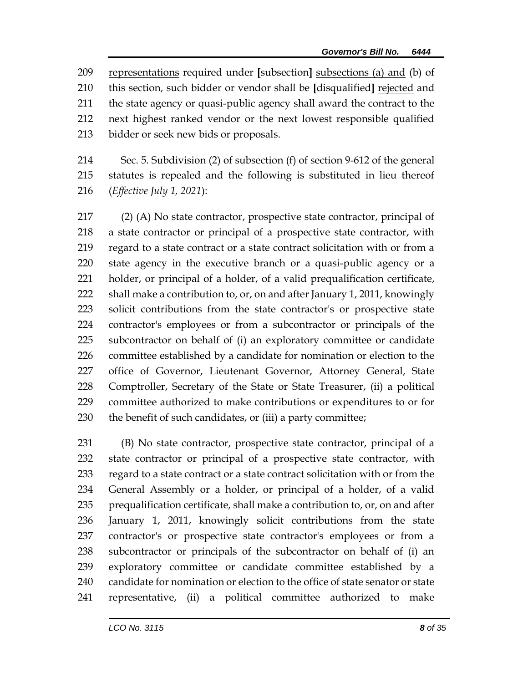representations required under **[**subsection**]** subsections (a) and (b) of this section, such bidder or vendor shall be **[**disqualified**]** rejected and the state agency or quasi-public agency shall award the contract to the next highest ranked vendor or the next lowest responsible qualified bidder or seek new bids or proposals.

 Sec. 5. Subdivision (2) of subsection (f) of section 9-612 of the general statutes is repealed and the following is substituted in lieu thereof (*Effective July 1, 2021*):

 (2) (A) No state contractor, prospective state contractor, principal of a state contractor or principal of a prospective state contractor, with regard to a state contract or a state contract solicitation with or from a state agency in the executive branch or a quasi-public agency or a holder, or principal of a holder, of a valid prequalification certificate, shall make a contribution to, or, on and after January 1, 2011, knowingly solicit contributions from the state contractor's or prospective state contractor's employees or from a subcontractor or principals of the subcontractor on behalf of (i) an exploratory committee or candidate committee established by a candidate for nomination or election to the 227 office of Governor, Lieutenant Governor, Attorney General, State 228 Comptroller, Secretary of the State or State Treasurer, (ii) a political committee authorized to make contributions or expenditures to or for the benefit of such candidates, or (iii) a party committee;

 (B) No state contractor, prospective state contractor, principal of a state contractor or principal of a prospective state contractor, with regard to a state contract or a state contract solicitation with or from the General Assembly or a holder, or principal of a holder, of a valid prequalification certificate, shall make a contribution to, or, on and after January 1, 2011, knowingly solicit contributions from the state contractor's or prospective state contractor's employees or from a subcontractor or principals of the subcontractor on behalf of (i) an exploratory committee or candidate committee established by a candidate for nomination or election to the office of state senator or state representative, (ii) a political committee authorized to make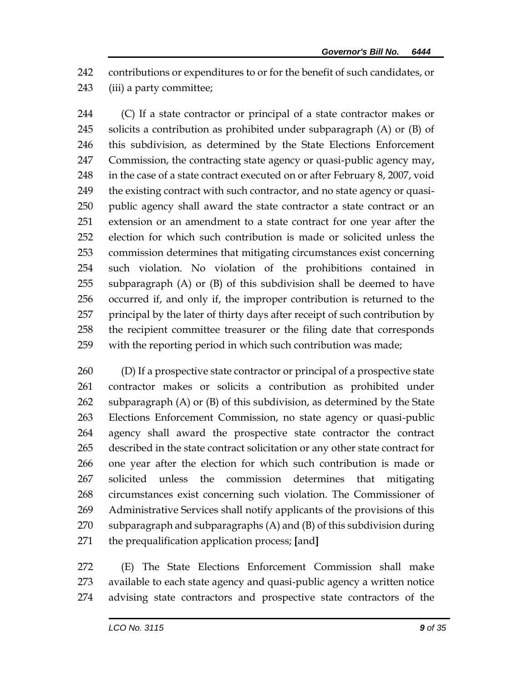contributions or expenditures to or for the benefit of such candidates, or (iii) a party committee;

 (C) If a state contractor or principal of a state contractor makes or solicits a contribution as prohibited under subparagraph (A) or (B) of this subdivision, as determined by the State Elections Enforcement Commission, the contracting state agency or quasi-public agency may, 248 in the case of a state contract executed on or after February 8, 2007, void 249 the existing contract with such contractor, and no state agency or quasi- public agency shall award the state contractor a state contract or an extension or an amendment to a state contract for one year after the election for which such contribution is made or solicited unless the commission determines that mitigating circumstances exist concerning such violation. No violation of the prohibitions contained in subparagraph (A) or (B) of this subdivision shall be deemed to have occurred if, and only if, the improper contribution is returned to the principal by the later of thirty days after receipt of such contribution by the recipient committee treasurer or the filing date that corresponds with the reporting period in which such contribution was made;

 (D) If a prospective state contractor or principal of a prospective state contractor makes or solicits a contribution as prohibited under subparagraph (A) or (B) of this subdivision, as determined by the State Elections Enforcement Commission, no state agency or quasi-public agency shall award the prospective state contractor the contract described in the state contract solicitation or any other state contract for one year after the election for which such contribution is made or solicited unless the commission determines that mitigating circumstances exist concerning such violation. The Commissioner of Administrative Services shall notify applicants of the provisions of this subparagraph and subparagraphs (A) and (B) of this subdivision during the prequalification application process; **[**and**]**

 (E) The State Elections Enforcement Commission shall make available to each state agency and quasi-public agency a written notice advising state contractors and prospective state contractors of the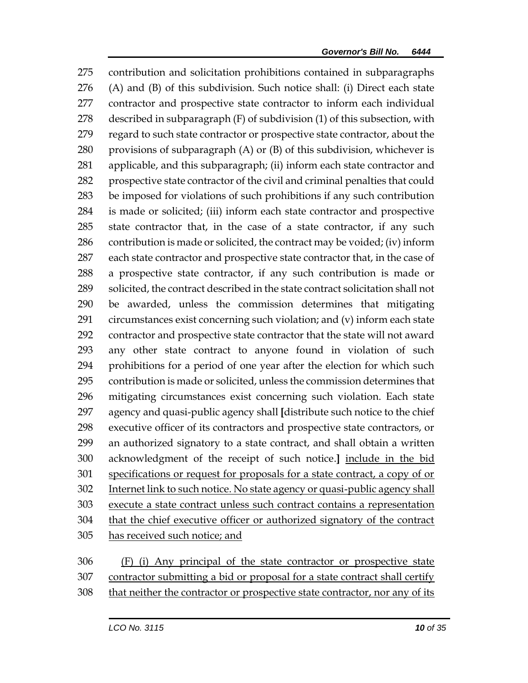contribution and solicitation prohibitions contained in subparagraphs (A) and (B) of this subdivision. Such notice shall: (i) Direct each state contractor and prospective state contractor to inform each individual described in subparagraph (F) of subdivision (1) of this subsection, with regard to such state contractor or prospective state contractor, about the 280 provisions of subparagraph  $(A)$  or  $(B)$  of this subdivision, whichever is applicable, and this subparagraph; (ii) inform each state contractor and prospective state contractor of the civil and criminal penalties that could be imposed for violations of such prohibitions if any such contribution is made or solicited; (iii) inform each state contractor and prospective state contractor that, in the case of a state contractor, if any such contribution is made or solicited, the contract may be voided; (iv) inform each state contractor and prospective state contractor that, in the case of a prospective state contractor, if any such contribution is made or solicited, the contract described in the state contract solicitation shall not be awarded, unless the commission determines that mitigating circumstances exist concerning such violation; and (v) inform each state contractor and prospective state contractor that the state will not award any other state contract to anyone found in violation of such prohibitions for a period of one year after the election for which such contribution is made or solicited, unless the commission determines that mitigating circumstances exist concerning such violation. Each state agency and quasi-public agency shall **[**distribute such notice to the chief executive officer of its contractors and prospective state contractors, or an authorized signatory to a state contract, and shall obtain a written acknowledgment of the receipt of such notice.**]** include in the bid specifications or request for proposals for a state contract, a copy of or Internet link to such notice. No state agency or quasi-public agency shall execute a state contract unless such contract contains a representation that the chief executive officer or authorized signatory of the contract has received such notice; and (F) (i) Any principal of the state contractor or prospective state

contractor submitting a bid or proposal for a state contract shall certify

308 that neither the contractor or prospective state contractor, nor any of its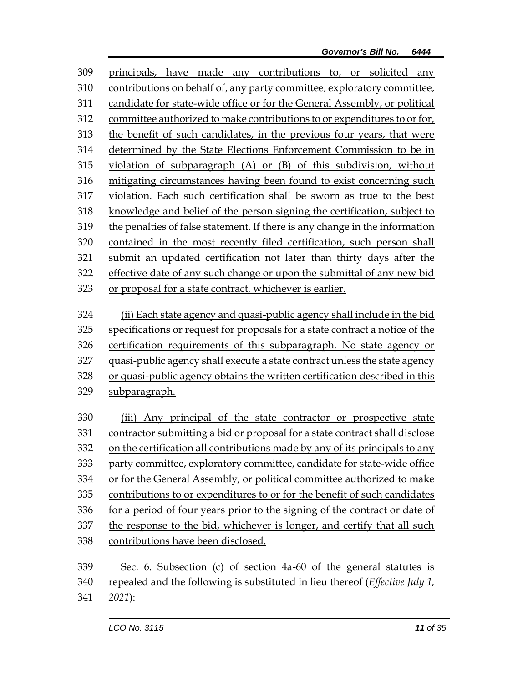principals, have made any contributions to, or solicited any contributions on behalf of, any party committee, exploratory committee, candidate for state-wide office or for the General Assembly, or political committee authorized to make contributions to or expenditures to or for, the benefit of such candidates, in the previous four years, that were determined by the State Elections Enforcement Commission to be in violation of subparagraph (A) or (B) of this subdivision, without mitigating circumstances having been found to exist concerning such violation. Each such certification shall be sworn as true to the best knowledge and belief of the person signing the certification, subject to the penalties of false statement. If there is any change in the information contained in the most recently filed certification, such person shall submit an updated certification not later than thirty days after the effective date of any such change or upon the submittal of any new bid or proposal for a state contract, whichever is earlier. (ii) Each state agency and quasi-public agency shall include in the bid specifications or request for proposals for a state contract a notice of the certification requirements of this subparagraph. No state agency or quasi-public agency shall execute a state contract unless the state agency or quasi-public agency obtains the written certification described in this 329 subparagraph. (iii) Any principal of the state contractor or prospective state contractor submitting a bid or proposal for a state contract shall disclose on the certification all contributions made by any of its principals to any party committee, exploratory committee, candidate for state-wide office or for the General Assembly, or political committee authorized to make contributions to or expenditures to or for the benefit of such candidates for a period of four years prior to the signing of the contract or date of the response to the bid, whichever is longer, and certify that all such contributions have been disclosed. Sec. 6. Subsection (c) of section 4a-60 of the general statutes is repealed and the following is substituted in lieu thereof (*Effective July 1, 2021*):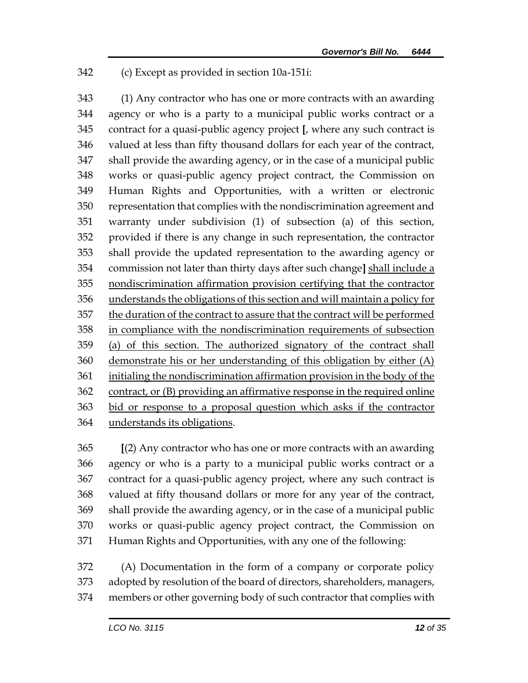(c) Except as provided in section 10a-151i:

 (1) Any contractor who has one or more contracts with an awarding agency or who is a party to a municipal public works contract or a contract for a quasi-public agency project **[**, where any such contract is valued at less than fifty thousand dollars for each year of the contract, shall provide the awarding agency, or in the case of a municipal public works or quasi-public agency project contract, the Commission on Human Rights and Opportunities, with a written or electronic representation that complies with the nondiscrimination agreement and warranty under subdivision (1) of subsection (a) of this section, provided if there is any change in such representation, the contractor shall provide the updated representation to the awarding agency or commission not later than thirty days after such change**]** shall include a nondiscrimination affirmation provision certifying that the contractor understands the obligations of this section and will maintain a policy for the duration of the contract to assure that the contract will be performed in compliance with the nondiscrimination requirements of subsection (a) of this section. The authorized signatory of the contract shall demonstrate his or her understanding of this obligation by either (A) initialing the nondiscrimination affirmation provision in the body of the contract, or (B) providing an affirmative response in the required online bid or response to a proposal question which asks if the contractor understands its obligations.

 **[**(2) Any contractor who has one or more contracts with an awarding agency or who is a party to a municipal public works contract or a contract for a quasi-public agency project, where any such contract is valued at fifty thousand dollars or more for any year of the contract, shall provide the awarding agency, or in the case of a municipal public works or quasi-public agency project contract, the Commission on Human Rights and Opportunities, with any one of the following:

 (A) Documentation in the form of a company or corporate policy adopted by resolution of the board of directors, shareholders, managers, members or other governing body of such contractor that complies with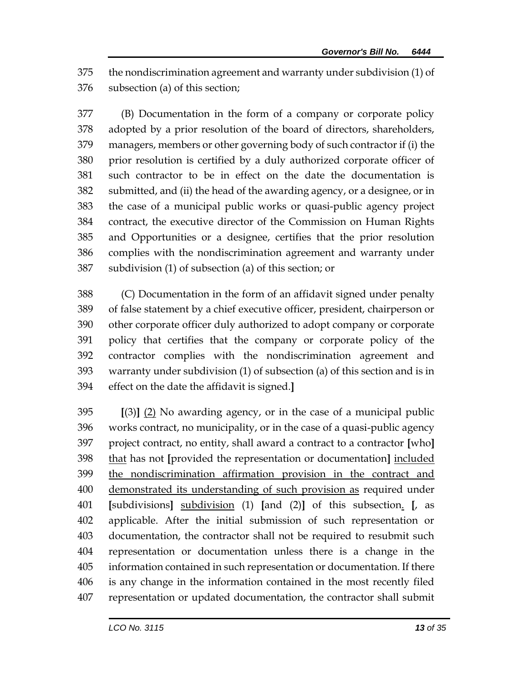the nondiscrimination agreement and warranty under subdivision (1) of subsection (a) of this section;

 (B) Documentation in the form of a company or corporate policy adopted by a prior resolution of the board of directors, shareholders, managers, members or other governing body of such contractor if (i) the prior resolution is certified by a duly authorized corporate officer of such contractor to be in effect on the date the documentation is submitted, and (ii) the head of the awarding agency, or a designee, or in the case of a municipal public works or quasi-public agency project contract, the executive director of the Commission on Human Rights and Opportunities or a designee, certifies that the prior resolution complies with the nondiscrimination agreement and warranty under subdivision (1) of subsection (a) of this section; or

 (C) Documentation in the form of an affidavit signed under penalty of false statement by a chief executive officer, president, chairperson or other corporate officer duly authorized to adopt company or corporate policy that certifies that the company or corporate policy of the contractor complies with the nondiscrimination agreement and warranty under subdivision (1) of subsection (a) of this section and is in effect on the date the affidavit is signed.**]**

 **[**(3)**]** (2) No awarding agency, or in the case of a municipal public works contract, no municipality, or in the case of a quasi-public agency project contract, no entity, shall award a contract to a contractor **[**who**]** that has not **[**provided the representation or documentation**]** included the nondiscrimination affirmation provision in the contract and demonstrated its understanding of such provision as required under **[**subdivisions**]** subdivision (1) **[**and (2)**]** of this subsection. **[**, as applicable. After the initial submission of such representation or documentation, the contractor shall not be required to resubmit such representation or documentation unless there is a change in the information contained in such representation or documentation. If there is any change in the information contained in the most recently filed representation or updated documentation, the contractor shall submit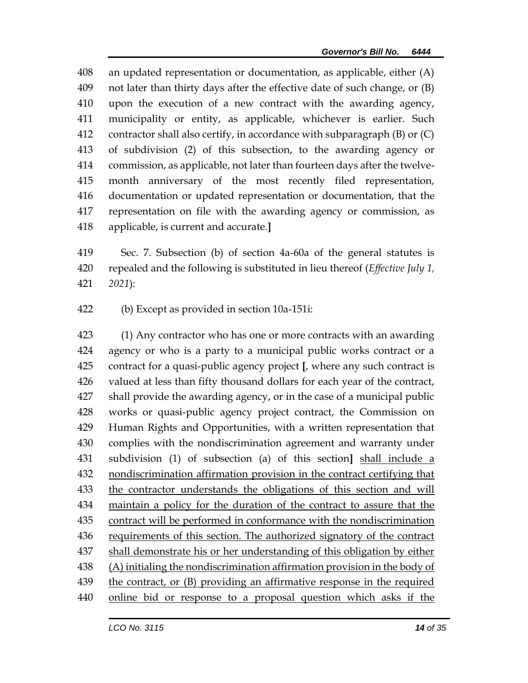an updated representation or documentation, as applicable, either (A) not later than thirty days after the effective date of such change, or (B) upon the execution of a new contract with the awarding agency, municipality or entity, as applicable, whichever is earlier. Such contractor shall also certify, in accordance with subparagraph (B) or (C) of subdivision (2) of this subsection, to the awarding agency or commission, as applicable, not later than fourteen days after the twelve- month anniversary of the most recently filed representation, documentation or updated representation or documentation, that the representation on file with the awarding agency or commission, as applicable, is current and accurate.**]**

 Sec. 7. Subsection (b) of section 4a-60a of the general statutes is repealed and the following is substituted in lieu thereof (*Effective July 1, 2021*):

(b) Except as provided in section 10a-151i:

 (1) Any contractor who has one or more contracts with an awarding agency or who is a party to a municipal public works contract or a contract for a quasi-public agency project **[**, where any such contract is valued at less than fifty thousand dollars for each year of the contract, shall provide the awarding agency, or in the case of a municipal public works or quasi-public agency project contract, the Commission on Human Rights and Opportunities, with a written representation that complies with the nondiscrimination agreement and warranty under subdivision (1) of subsection (a) of this section**]** shall include a nondiscrimination affirmation provision in the contract certifying that the contractor understands the obligations of this section and will maintain a policy for the duration of the contract to assure that the contract will be performed in conformance with the nondiscrimination 436 requirements of this section. The authorized signatory of the contract shall demonstrate his or her understanding of this obligation by either (A) initialing the nondiscrimination affirmation provision in the body of the contract, or (B) providing an affirmative response in the required online bid or response to a proposal question which asks if the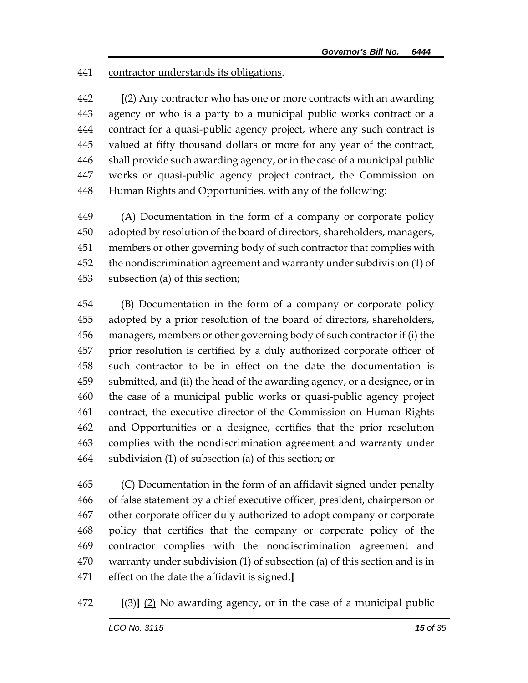## contractor understands its obligations.

 **[**(2) Any contractor who has one or more contracts with an awarding agency or who is a party to a municipal public works contract or a contract for a quasi-public agency project, where any such contract is valued at fifty thousand dollars or more for any year of the contract, shall provide such awarding agency, or in the case of a municipal public works or quasi-public agency project contract, the Commission on Human Rights and Opportunities, with any of the following:

 (A) Documentation in the form of a company or corporate policy adopted by resolution of the board of directors, shareholders, managers, members or other governing body of such contractor that complies with the nondiscrimination agreement and warranty under subdivision (1) of subsection (a) of this section;

 (B) Documentation in the form of a company or corporate policy adopted by a prior resolution of the board of directors, shareholders, managers, members or other governing body of such contractor if (i) the prior resolution is certified by a duly authorized corporate officer of such contractor to be in effect on the date the documentation is submitted, and (ii) the head of the awarding agency, or a designee, or in the case of a municipal public works or quasi-public agency project contract, the executive director of the Commission on Human Rights and Opportunities or a designee, certifies that the prior resolution complies with the nondiscrimination agreement and warranty under subdivision (1) of subsection (a) of this section; or

 (C) Documentation in the form of an affidavit signed under penalty of false statement by a chief executive officer, president, chairperson or other corporate officer duly authorized to adopt company or corporate policy that certifies that the company or corporate policy of the contractor complies with the nondiscrimination agreement and warranty under subdivision (1) of subsection (a) of this section and is in effect on the date the affidavit is signed.**]**

**[**(3)**]** (2) No awarding agency, or in the case of a municipal public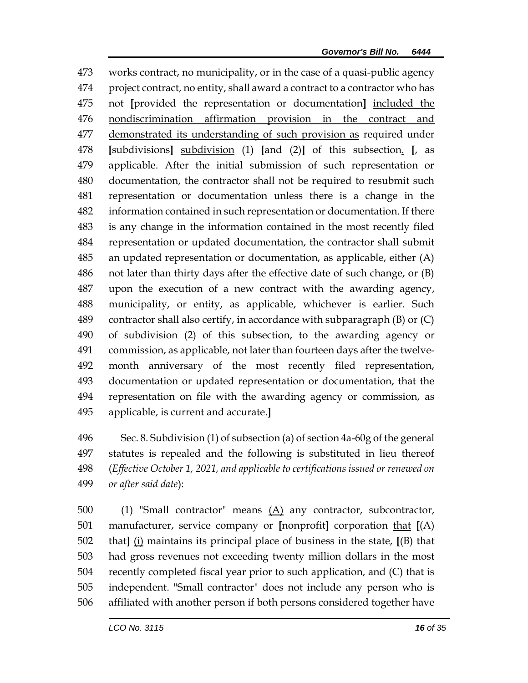works contract, no municipality, or in the case of a quasi-public agency project contract, no entity, shall award a contract to a contractor who has not **[**provided the representation or documentation**]** included the 476 nondiscrimination affirmation provision in the contract and demonstrated its understanding of such provision as required under **[**subdivisions**]** subdivision (1) **[**and (2)**]** of this subsection. **[**, as applicable. After the initial submission of such representation or documentation, the contractor shall not be required to resubmit such representation or documentation unless there is a change in the information contained in such representation or documentation. If there is any change in the information contained in the most recently filed representation or updated documentation, the contractor shall submit an updated representation or documentation, as applicable, either (A) not later than thirty days after the effective date of such change, or (B) upon the execution of a new contract with the awarding agency, municipality, or entity, as applicable, whichever is earlier. Such contractor shall also certify, in accordance with subparagraph (B) or (C) of subdivision (2) of this subsection, to the awarding agency or commission, as applicable, not later than fourteen days after the twelve- month anniversary of the most recently filed representation, documentation or updated representation or documentation, that the representation on file with the awarding agency or commission, as applicable, is current and accurate.**]**

 Sec. 8. Subdivision (1) of subsection (a) of section 4a-60g of the general statutes is repealed and the following is substituted in lieu thereof (*Effective October 1, 2021, and applicable to certifications issued or renewed on or after said date*):

500 (1) "Small contractor" means  $(A)$  any contractor, subcontractor, manufacturer, service company or **[**nonprofit**]** corporation that **[**(A) that**]** (i) maintains its principal place of business in the state, **[**(B) that had gross revenues not exceeding twenty million dollars in the most recently completed fiscal year prior to such application, and (C) that is independent. "Small contractor" does not include any person who is affiliated with another person if both persons considered together have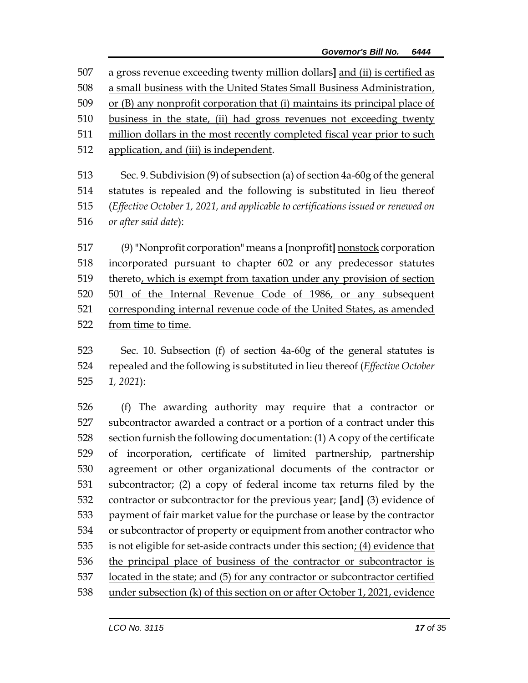a gross revenue exceeding twenty million dollars**]** and (ii) is certified as a small business with the United States Small Business Administration, or (B) any nonprofit corporation that (i) maintains its principal place of business in the state, (ii) had gross revenues not exceeding twenty

million dollars in the most recently completed fiscal year prior to such

application, and (iii) is independent.

 Sec. 9. Subdivision (9) of subsection (a) of section 4a-60g of the general statutes is repealed and the following is substituted in lieu thereof (*Effective October 1, 2021, and applicable to certifications issued or renewed on or after said date*):

 (9) "Nonprofit corporation" means a **[**nonprofit**]** nonstock corporation incorporated pursuant to chapter 602 or any predecessor statutes thereto, which is exempt from taxation under any provision of section 501 of the Internal Revenue Code of 1986, or any subsequent corresponding internal revenue code of the United States, as amended from time to time.

 Sec. 10. Subsection (f) of section 4a-60g of the general statutes is repealed and the following is substituted in lieu thereof (*Effective October 1, 2021*):

 (f) The awarding authority may require that a contractor or subcontractor awarded a contract or a portion of a contract under this section furnish the following documentation: (1) A copy of the certificate of incorporation, certificate of limited partnership, partnership agreement or other organizational documents of the contractor or subcontractor; (2) a copy of federal income tax returns filed by the contractor or subcontractor for the previous year; **[**and**]** (3) evidence of payment of fair market value for the purchase or lease by the contractor or subcontractor of property or equipment from another contractor who 535 is not eligible for set-aside contracts under this section; (4) evidence that the principal place of business of the contractor or subcontractor is located in the state; and (5) for any contractor or subcontractor certified under subsection (k) of this section on or after October 1, 2021, evidence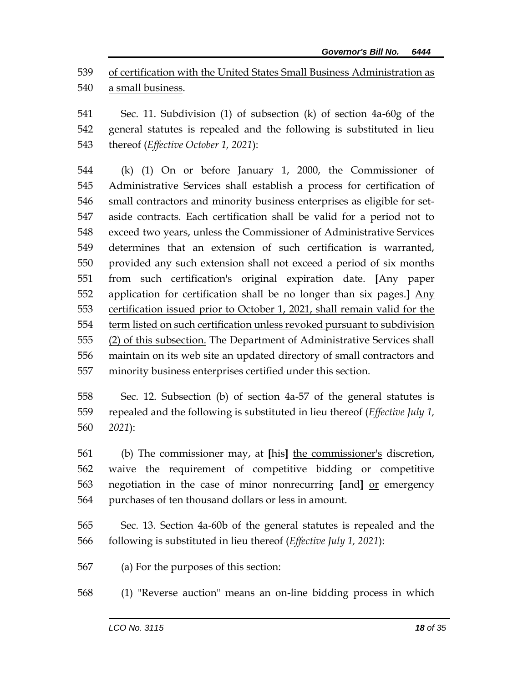of certification with the United States Small Business Administration as a small business.

 Sec. 11. Subdivision (1) of subsection (k) of section 4a-60g of the general statutes is repealed and the following is substituted in lieu thereof (*Effective October 1, 2021*):

 (k) (1) On or before January 1, 2000, the Commissioner of Administrative Services shall establish a process for certification of small contractors and minority business enterprises as eligible for set- aside contracts. Each certification shall be valid for a period not to exceed two years, unless the Commissioner of Administrative Services determines that an extension of such certification is warranted, provided any such extension shall not exceed a period of six months from such certification's original expiration date. **[**Any paper application for certification shall be no longer than six pages.**]** Any certification issued prior to October 1, 2021, shall remain valid for the term listed on such certification unless revoked pursuant to subdivision (2) of this subsection. The Department of Administrative Services shall maintain on its web site an updated directory of small contractors and minority business enterprises certified under this section.

 Sec. 12. Subsection (b) of section 4a-57 of the general statutes is repealed and the following is substituted in lieu thereof (*Effective July 1, 2021*):

 (b) The commissioner may, at **[**his**]** the commissioner's discretion, waive the requirement of competitive bidding or competitive negotiation in the case of minor nonrecurring **[**and**]** or emergency purchases of ten thousand dollars or less in amount.

 Sec. 13. Section 4a-60b of the general statutes is repealed and the following is substituted in lieu thereof (*Effective July 1, 2021*):

(a) For the purposes of this section:

(1) "Reverse auction" means an on-line bidding process in which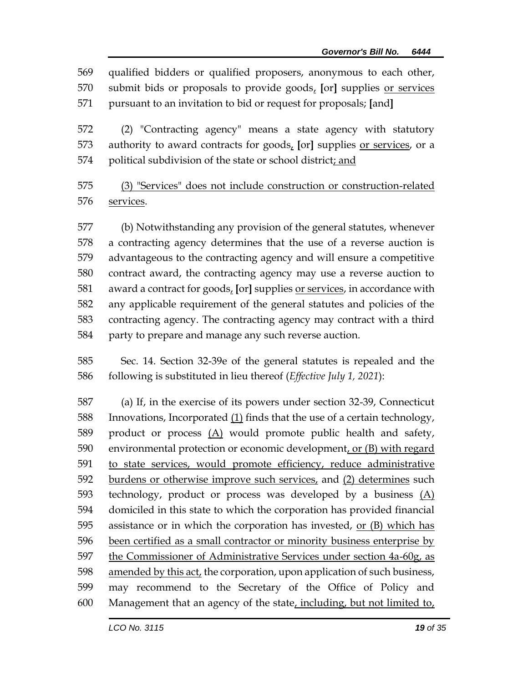qualified bidders or qualified proposers, anonymous to each other, submit bids or proposals to provide goods, **[**or**]** supplies or services pursuant to an invitation to bid or request for proposals; **[**and**]**

 (2) "Contracting agency" means a state agency with statutory authority to award contracts for goods, **[**or**]** supplies or services, or a political subdivision of the state or school district; and

 (3) "Services" does not include construction or construction-related services.

 (b) Notwithstanding any provision of the general statutes, whenever a contracting agency determines that the use of a reverse auction is advantageous to the contracting agency and will ensure a competitive contract award, the contracting agency may use a reverse auction to award a contract for goods, **[**or**]** supplies or services, in accordance with any applicable requirement of the general statutes and policies of the contracting agency. The contracting agency may contract with a third party to prepare and manage any such reverse auction.

 Sec. 14. Section 32-39e of the general statutes is repealed and the following is substituted in lieu thereof (*Effective July 1, 2021*):

 (a) If, in the exercise of its powers under section 32-39, Connecticut Innovations, Incorporated (1) finds that the use of a certain technology, 589 product or process  $(A)$  would promote public health and safety, 590 environmental protection or economic development, or (B) with regard to state services, would promote efficiency, reduce administrative burdens or otherwise improve such services, and (2) determines such technology, product or process was developed by a business (A) domiciled in this state to which the corporation has provided financial assistance or in which the corporation has invested, or (B) which has been certified as a small contractor or minority business enterprise by the Commissioner of Administrative Services under section 4a-60g, as 598 amended by this act, the corporation, upon application of such business, may recommend to the Secretary of the Office of Policy and Management that an agency of the state, including, but not limited to,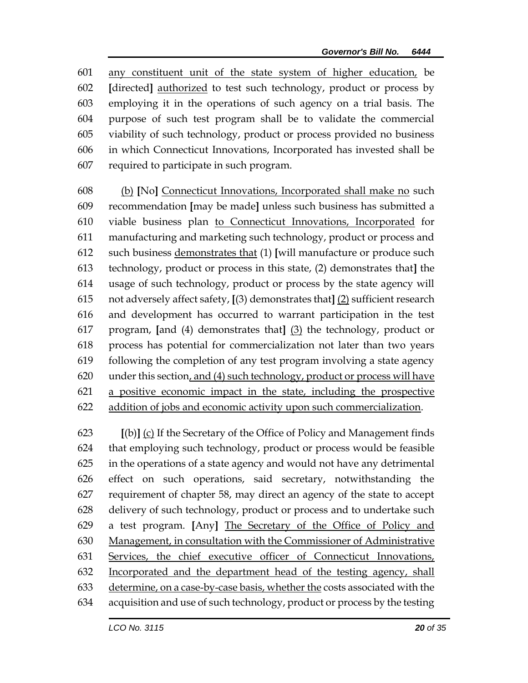any constituent unit of the state system of higher education, be **[**directed**]** authorized to test such technology, product or process by employing it in the operations of such agency on a trial basis. The purpose of such test program shall be to validate the commercial viability of such technology, product or process provided no business in which Connecticut Innovations, Incorporated has invested shall be required to participate in such program.

 (b) **[**No**]** Connecticut Innovations, Incorporated shall make no such recommendation **[**may be made**]** unless such business has submitted a viable business plan to Connecticut Innovations, Incorporated for manufacturing and marketing such technology, product or process and such business demonstrates that (1) **[**will manufacture or produce such technology, product or process in this state, (2) demonstrates that**]** the usage of such technology, product or process by the state agency will not adversely affect safety, **[**(3) demonstrates that**]** (2) sufficient research and development has occurred to warrant participation in the test program, **[**and (4) demonstrates that**]** (3) the technology, product or process has potential for commercialization not later than two years following the completion of any test program involving a state agency under this section, and (4) such technology, product or process will have a positive economic impact in the state, including the prospective addition of jobs and economic activity upon such commercialization.

 **[**(b)**]** (c) If the Secretary of the Office of Policy and Management finds that employing such technology, product or process would be feasible in the operations of a state agency and would not have any detrimental effect on such operations, said secretary, notwithstanding the requirement of chapter 58, may direct an agency of the state to accept delivery of such technology, product or process and to undertake such a test program. **[**Any**]** The Secretary of the Office of Policy and Management, in consultation with the Commissioner of Administrative Services, the chief executive officer of Connecticut Innovations, Incorporated and the department head of the testing agency, shall determine, on a case-by-case basis, whether the costs associated with the acquisition and use of such technology, product or process by the testing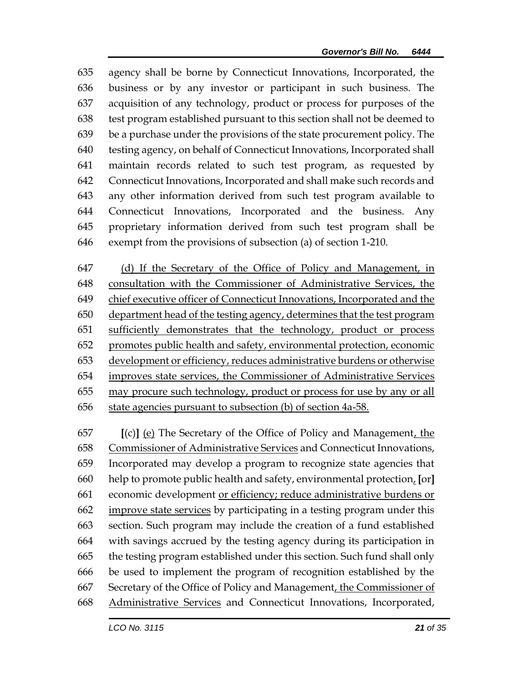agency shall be borne by Connecticut Innovations, Incorporated, the business or by any investor or participant in such business. The acquisition of any technology, product or process for purposes of the test program established pursuant to this section shall not be deemed to be a purchase under the provisions of the state procurement policy. The testing agency, on behalf of Connecticut Innovations, Incorporated shall maintain records related to such test program, as requested by Connecticut Innovations, Incorporated and shall make such records and any other information derived from such test program available to Connecticut Innovations, Incorporated and the business. Any proprietary information derived from such test program shall be exempt from the provisions of subsection (a) of section 1-210.

 (d) If the Secretary of the Office of Policy and Management, in consultation with the Commissioner of Administrative Services, the chief executive officer of Connecticut Innovations, Incorporated and the department head of the testing agency, determines that the test program sufficiently demonstrates that the technology, product or process promotes public health and safety, environmental protection, economic development or efficiency, reduces administrative burdens or otherwise improves state services, the Commissioner of Administrative Services may procure such technology, product or process for use by any or all 656 state agencies pursuant to subsection  $(b)$  of section  $4a-58$ .

 **[**(c)**]** (e) The Secretary of the Office of Policy and Management, the Commissioner of Administrative Services and Connecticut Innovations, Incorporated may develop a program to recognize state agencies that help to promote public health and safety, environmental protection, **[**or**]** economic development or efficiency; reduce administrative burdens or improve state services by participating in a testing program under this section. Such program may include the creation of a fund established with savings accrued by the testing agency during its participation in the testing program established under this section. Such fund shall only be used to implement the program of recognition established by the 667 Secretary of the Office of Policy and Management, the Commissioner of Administrative Services and Connecticut Innovations, Incorporated,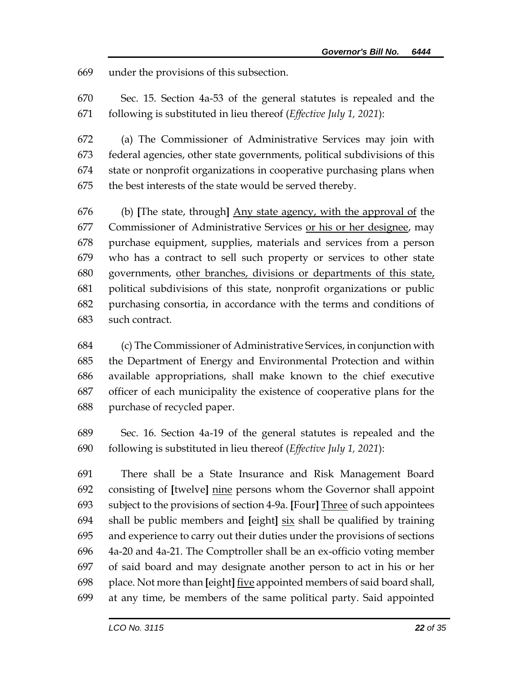under the provisions of this subsection.

- Sec. 15. Section 4a-53 of the general statutes is repealed and the following is substituted in lieu thereof (*Effective July 1, 2021*):
- (a) The Commissioner of Administrative Services may join with federal agencies, other state governments, political subdivisions of this state or nonprofit organizations in cooperative purchasing plans when the best interests of the state would be served thereby.

 (b) **[**The state, through**]** Any state agency, with the approval of the Commissioner of Administrative Services or his or her designee, may purchase equipment, supplies, materials and services from a person who has a contract to sell such property or services to other state governments, other branches, divisions or departments of this state, political subdivisions of this state, nonprofit organizations or public purchasing consortia, in accordance with the terms and conditions of such contract.

 (c) The Commissioner of Administrative Services, in conjunction with the Department of Energy and Environmental Protection and within available appropriations, shall make known to the chief executive officer of each municipality the existence of cooperative plans for the purchase of recycled paper.

 Sec. 16. Section 4a-19 of the general statutes is repealed and the following is substituted in lieu thereof (*Effective July 1, 2021*):

 There shall be a State Insurance and Risk Management Board consisting of **[**twelve**]** nine persons whom the Governor shall appoint subject to the provisions of section 4-9a. **[**Four**]** Three of such appointees shall be public members and **[**eight**]** six shall be qualified by training and experience to carry out their duties under the provisions of sections 4a-20 and 4a-21. The Comptroller shall be an ex-officio voting member of said board and may designate another person to act in his or her place. Not more than **[**eight**]** five appointed members of said board shall, at any time, be members of the same political party. Said appointed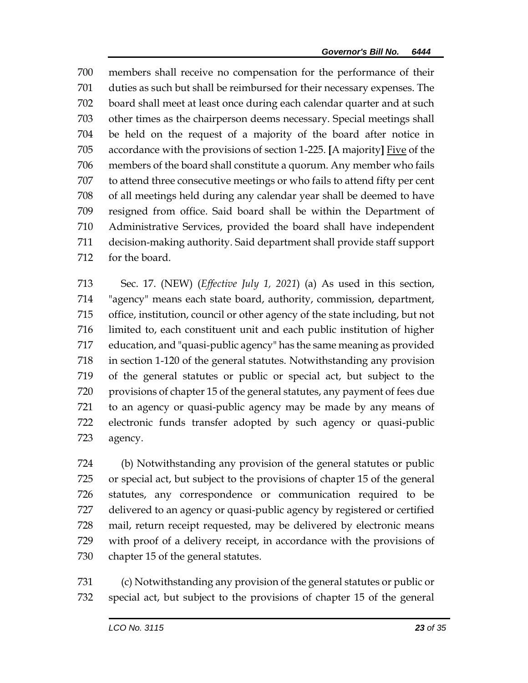members shall receive no compensation for the performance of their duties as such but shall be reimbursed for their necessary expenses. The board shall meet at least once during each calendar quarter and at such other times as the chairperson deems necessary. Special meetings shall be held on the request of a majority of the board after notice in accordance with the provisions of section 1-225. **[**A majority**]** Five of the members of the board shall constitute a quorum. Any member who fails to attend three consecutive meetings or who fails to attend fifty per cent of all meetings held during any calendar year shall be deemed to have resigned from office. Said board shall be within the Department of Administrative Services, provided the board shall have independent decision-making authority. Said department shall provide staff support for the board.

 Sec. 17. (NEW) (*Effective July 1, 2021*) (a) As used in this section, "agency" means each state board, authority, commission, department, office, institution, council or other agency of the state including, but not limited to, each constituent unit and each public institution of higher education, and "quasi-public agency" has the same meaning as provided in section 1-120 of the general statutes. Notwithstanding any provision of the general statutes or public or special act, but subject to the provisions of chapter 15 of the general statutes, any payment of fees due to an agency or quasi-public agency may be made by any means of electronic funds transfer adopted by such agency or quasi-public agency.

 (b) Notwithstanding any provision of the general statutes or public or special act, but subject to the provisions of chapter 15 of the general statutes, any correspondence or communication required to be delivered to an agency or quasi-public agency by registered or certified mail, return receipt requested, may be delivered by electronic means with proof of a delivery receipt, in accordance with the provisions of chapter 15 of the general statutes.

 (c) Notwithstanding any provision of the general statutes or public or special act, but subject to the provisions of chapter 15 of the general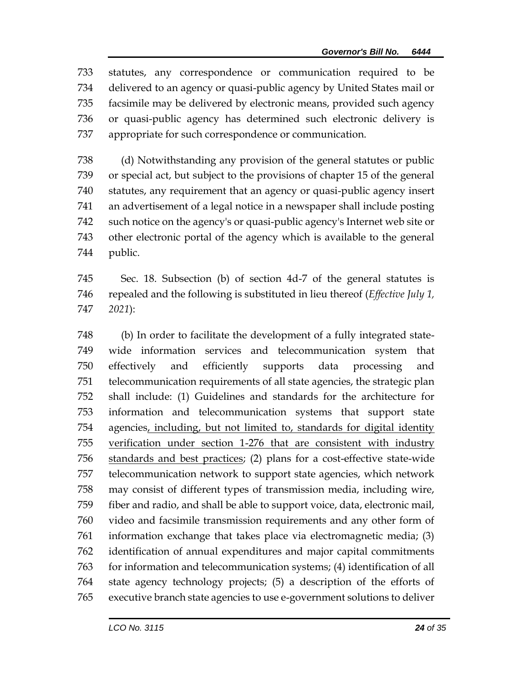statutes, any correspondence or communication required to be delivered to an agency or quasi-public agency by United States mail or facsimile may be delivered by electronic means, provided such agency or quasi-public agency has determined such electronic delivery is appropriate for such correspondence or communication.

 (d) Notwithstanding any provision of the general statutes or public or special act, but subject to the provisions of chapter 15 of the general statutes, any requirement that an agency or quasi-public agency insert an advertisement of a legal notice in a newspaper shall include posting such notice on the agency's or quasi-public agency's Internet web site or other electronic portal of the agency which is available to the general public.

 Sec. 18. Subsection (b) of section 4d-7 of the general statutes is repealed and the following is substituted in lieu thereof (*Effective July 1, 2021*):

 (b) In order to facilitate the development of a fully integrated state- wide information services and telecommunication system that effectively and efficiently supports data processing and telecommunication requirements of all state agencies, the strategic plan shall include: (1) Guidelines and standards for the architecture for information and telecommunication systems that support state agencies, including, but not limited to, standards for digital identity verification under section 1-276 that are consistent with industry standards and best practices; (2) plans for a cost-effective state-wide telecommunication network to support state agencies, which network may consist of different types of transmission media, including wire, fiber and radio, and shall be able to support voice, data, electronic mail, video and facsimile transmission requirements and any other form of information exchange that takes place via electromagnetic media; (3) identification of annual expenditures and major capital commitments for information and telecommunication systems; (4) identification of all state agency technology projects; (5) a description of the efforts of executive branch state agencies to use e-government solutions to deliver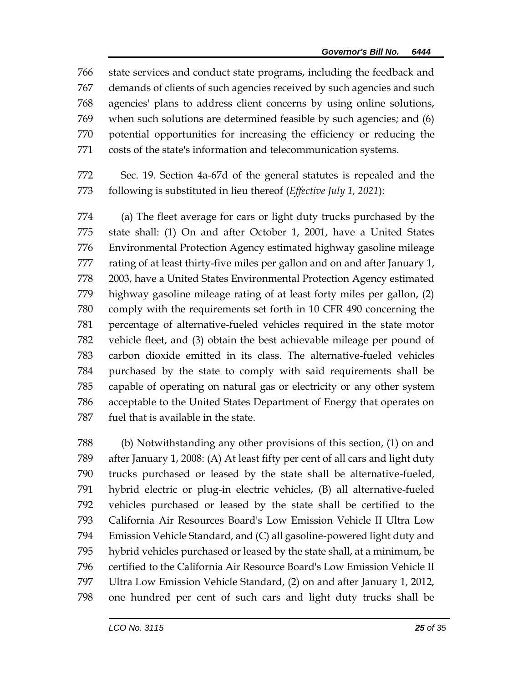state services and conduct state programs, including the feedback and demands of clients of such agencies received by such agencies and such agencies' plans to address client concerns by using online solutions, when such solutions are determined feasible by such agencies; and (6) potential opportunities for increasing the efficiency or reducing the costs of the state's information and telecommunication systems.

 Sec. 19. Section 4a-67d of the general statutes is repealed and the following is substituted in lieu thereof (*Effective July 1, 2021*):

 (a) The fleet average for cars or light duty trucks purchased by the state shall: (1) On and after October 1, 2001, have a United States Environmental Protection Agency estimated highway gasoline mileage rating of at least thirty-five miles per gallon and on and after January 1, 2003, have a United States Environmental Protection Agency estimated highway gasoline mileage rating of at least forty miles per gallon, (2) comply with the requirements set forth in 10 CFR 490 concerning the percentage of alternative-fueled vehicles required in the state motor vehicle fleet, and (3) obtain the best achievable mileage per pound of carbon dioxide emitted in its class. The alternative-fueled vehicles purchased by the state to comply with said requirements shall be capable of operating on natural gas or electricity or any other system acceptable to the United States Department of Energy that operates on fuel that is available in the state.

 (b) Notwithstanding any other provisions of this section, (1) on and after January 1, 2008: (A) At least fifty per cent of all cars and light duty trucks purchased or leased by the state shall be alternative-fueled, hybrid electric or plug-in electric vehicles, (B) all alternative-fueled vehicles purchased or leased by the state shall be certified to the California Air Resources Board's Low Emission Vehicle II Ultra Low Emission Vehicle Standard, and (C) all gasoline-powered light duty and hybrid vehicles purchased or leased by the state shall, at a minimum, be certified to the California Air Resource Board's Low Emission Vehicle II Ultra Low Emission Vehicle Standard, (2) on and after January 1, 2012, one hundred per cent of such cars and light duty trucks shall be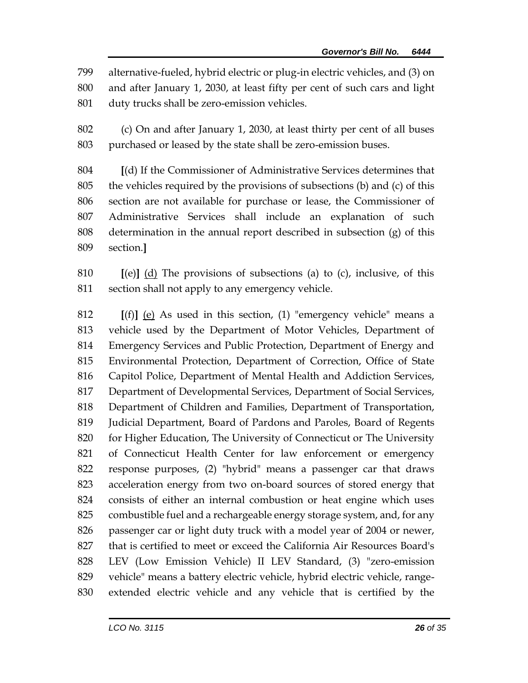alternative-fueled, hybrid electric or plug-in electric vehicles, and (3) on and after January 1, 2030, at least fifty per cent of such cars and light duty trucks shall be zero-emission vehicles.

 (c) On and after January 1, 2030, at least thirty per cent of all buses purchased or leased by the state shall be zero-emission buses.

 **[**(d) If the Commissioner of Administrative Services determines that the vehicles required by the provisions of subsections (b) and (c) of this section are not available for purchase or lease, the Commissioner of Administrative Services shall include an explanation of such determination in the annual report described in subsection (g) of this section.**]**

 **[**(e)**]** (d) The provisions of subsections (a) to (c), inclusive, of this section shall not apply to any emergency vehicle.

 **[**(f)**]** (e) As used in this section, (1) "emergency vehicle" means a vehicle used by the Department of Motor Vehicles, Department of Emergency Services and Public Protection, Department of Energy and Environmental Protection, Department of Correction, Office of State Capitol Police, Department of Mental Health and Addiction Services, Department of Developmental Services, Department of Social Services, Department of Children and Families, Department of Transportation, Judicial Department, Board of Pardons and Paroles, Board of Regents for Higher Education, The University of Connecticut or The University of Connecticut Health Center for law enforcement or emergency response purposes, (2) "hybrid" means a passenger car that draws acceleration energy from two on-board sources of stored energy that consists of either an internal combustion or heat engine which uses combustible fuel and a rechargeable energy storage system, and, for any passenger car or light duty truck with a model year of 2004 or newer, that is certified to meet or exceed the California Air Resources Board's LEV (Low Emission Vehicle) II LEV Standard, (3) "zero-emission vehicle" means a battery electric vehicle, hybrid electric vehicle, range-extended electric vehicle and any vehicle that is certified by the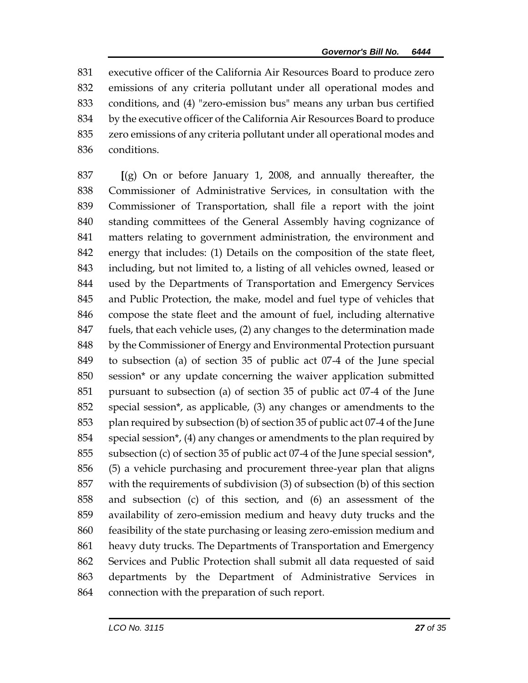executive officer of the California Air Resources Board to produce zero emissions of any criteria pollutant under all operational modes and conditions, and (4) "zero-emission bus" means any urban bus certified by the executive officer of the California Air Resources Board to produce zero emissions of any criteria pollutant under all operational modes and conditions.

 **[**(g) On or before January 1, 2008, and annually thereafter, the Commissioner of Administrative Services, in consultation with the Commissioner of Transportation, shall file a report with the joint standing committees of the General Assembly having cognizance of matters relating to government administration, the environment and energy that includes: (1) Details on the composition of the state fleet, including, but not limited to, a listing of all vehicles owned, leased or used by the Departments of Transportation and Emergency Services and Public Protection, the make, model and fuel type of vehicles that compose the state fleet and the amount of fuel, including alternative fuels, that each vehicle uses, (2) any changes to the determination made by the Commissioner of Energy and Environmental Protection pursuant to subsection (a) of section 35 of public act 07-4 of the June special session\* or any update concerning the waiver application submitted pursuant to subsection (a) of section 35 of public act 07-4 of the June special session\*, as applicable, (3) any changes or amendments to the plan required by subsection (b) of section 35 of public act 07-4 of the June special session\*, (4) any changes or amendments to the plan required by subsection (c) of section 35 of public act 07-4 of the June special session\*, (5) a vehicle purchasing and procurement three-year plan that aligns with the requirements of subdivision (3) of subsection (b) of this section and subsection (c) of this section, and (6) an assessment of the availability of zero-emission medium and heavy duty trucks and the feasibility of the state purchasing or leasing zero-emission medium and heavy duty trucks. The Departments of Transportation and Emergency Services and Public Protection shall submit all data requested of said departments by the Department of Administrative Services in connection with the preparation of such report.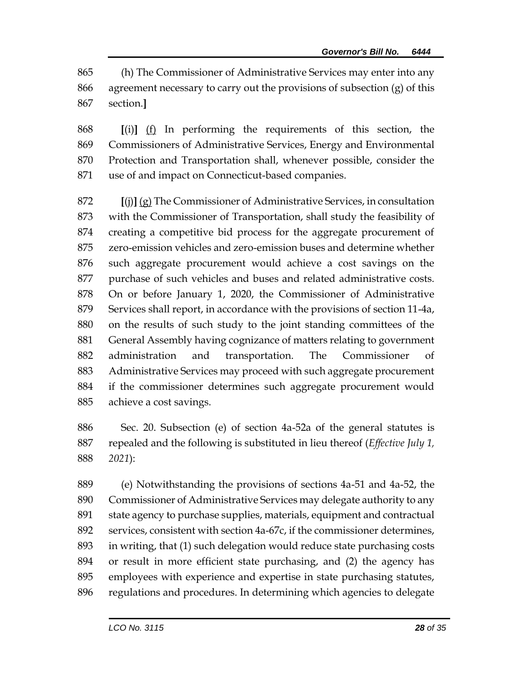(h) The Commissioner of Administrative Services may enter into any agreement necessary to carry out the provisions of subsection (g) of this section.**]**

 **[**(i)**]** (f) In performing the requirements of this section, the Commissioners of Administrative Services, Energy and Environmental Protection and Transportation shall, whenever possible, consider the use of and impact on Connecticut-based companies.

 **[**(j)**]** (g) The Commissioner of Administrative Services, in consultation with the Commissioner of Transportation, shall study the feasibility of creating a competitive bid process for the aggregate procurement of zero-emission vehicles and zero-emission buses and determine whether such aggregate procurement would achieve a cost savings on the purchase of such vehicles and buses and related administrative costs. On or before January 1, 2020, the Commissioner of Administrative Services shall report, in accordance with the provisions of section 11-4a, on the results of such study to the joint standing committees of the General Assembly having cognizance of matters relating to government administration and transportation. The Commissioner of Administrative Services may proceed with such aggregate procurement if the commissioner determines such aggregate procurement would achieve a cost savings.

 Sec. 20. Subsection (e) of section 4a-52a of the general statutes is repealed and the following is substituted in lieu thereof (*Effective July 1, 2021*):

 (e) Notwithstanding the provisions of sections 4a-51 and 4a-52, the Commissioner of Administrative Services may delegate authority to any state agency to purchase supplies, materials, equipment and contractual services, consistent with section 4a-67c, if the commissioner determines, in writing, that (1) such delegation would reduce state purchasing costs or result in more efficient state purchasing, and (2) the agency has employees with experience and expertise in state purchasing statutes, regulations and procedures. In determining which agencies to delegate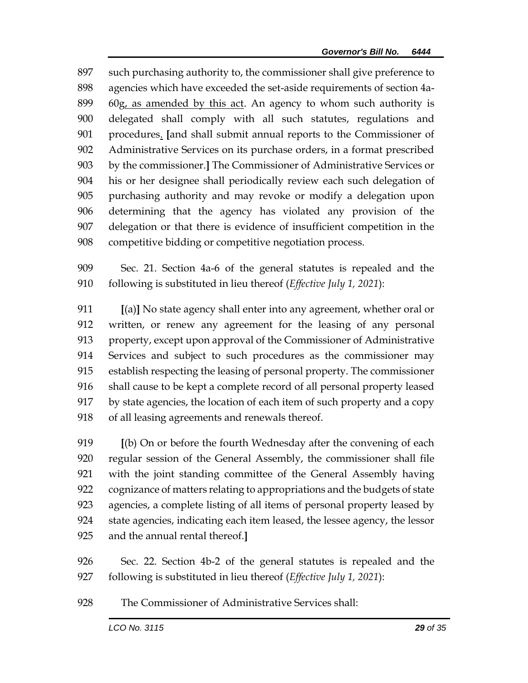such purchasing authority to, the commissioner shall give preference to agencies which have exceeded the set-aside requirements of section 4a-899 60g, as amended by this act. An agency to whom such authority is delegated shall comply with all such statutes, regulations and procedures. **[**and shall submit annual reports to the Commissioner of Administrative Services on its purchase orders, in a format prescribed by the commissioner.**]** The Commissioner of Administrative Services or his or her designee shall periodically review each such delegation of purchasing authority and may revoke or modify a delegation upon determining that the agency has violated any provision of the delegation or that there is evidence of insufficient competition in the competitive bidding or competitive negotiation process.

 Sec. 21. Section 4a-6 of the general statutes is repealed and the following is substituted in lieu thereof (*Effective July 1, 2021*):

 **[**(a)**]** No state agency shall enter into any agreement, whether oral or written, or renew any agreement for the leasing of any personal property, except upon approval of the Commissioner of Administrative Services and subject to such procedures as the commissioner may establish respecting the leasing of personal property. The commissioner shall cause to be kept a complete record of all personal property leased by state agencies, the location of each item of such property and a copy of all leasing agreements and renewals thereof.

 **[**(b) On or before the fourth Wednesday after the convening of each regular session of the General Assembly, the commissioner shall file with the joint standing committee of the General Assembly having cognizance of matters relating to appropriations and the budgets of state agencies, a complete listing of all items of personal property leased by state agencies, indicating each item leased, the lessee agency, the lessor and the annual rental thereof.**]**

 Sec. 22. Section 4b-2 of the general statutes is repealed and the following is substituted in lieu thereof (*Effective July 1, 2021*):

The Commissioner of Administrative Services shall: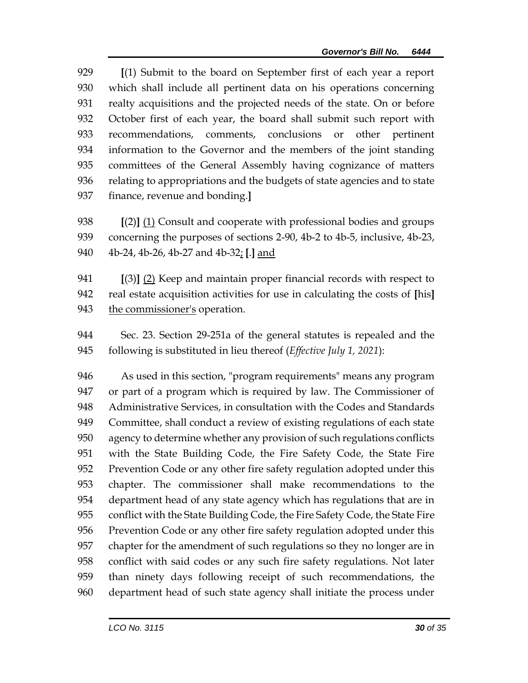**[**(1) Submit to the board on September first of each year a report which shall include all pertinent data on his operations concerning realty acquisitions and the projected needs of the state. On or before October first of each year, the board shall submit such report with recommendations, comments, conclusions or other pertinent information to the Governor and the members of the joint standing committees of the General Assembly having cognizance of matters relating to appropriations and the budgets of state agencies and to state finance, revenue and bonding.**]**

 **[**(2)**]** (1) Consult and cooperate with professional bodies and groups concerning the purposes of sections 2-90, 4b-2 to 4b-5, inclusive, 4b-23, 4b-24, 4b-26, 4b-27 and 4b-32; **[**.**]** and

 **[**(3)**]** (2) Keep and maintain proper financial records with respect to real estate acquisition activities for use in calculating the costs of **[**his**]** 943 the commissioner's operation.

 Sec. 23. Section 29-251a of the general statutes is repealed and the following is substituted in lieu thereof (*Effective July 1, 2021*):

 As used in this section, "program requirements" means any program or part of a program which is required by law. The Commissioner of Administrative Services, in consultation with the Codes and Standards Committee, shall conduct a review of existing regulations of each state agency to determine whether any provision of such regulations conflicts with the State Building Code, the Fire Safety Code, the State Fire Prevention Code or any other fire safety regulation adopted under this chapter. The commissioner shall make recommendations to the department head of any state agency which has regulations that are in conflict with the State Building Code, the Fire Safety Code, the State Fire Prevention Code or any other fire safety regulation adopted under this chapter for the amendment of such regulations so they no longer are in conflict with said codes or any such fire safety regulations. Not later than ninety days following receipt of such recommendations, the department head of such state agency shall initiate the process under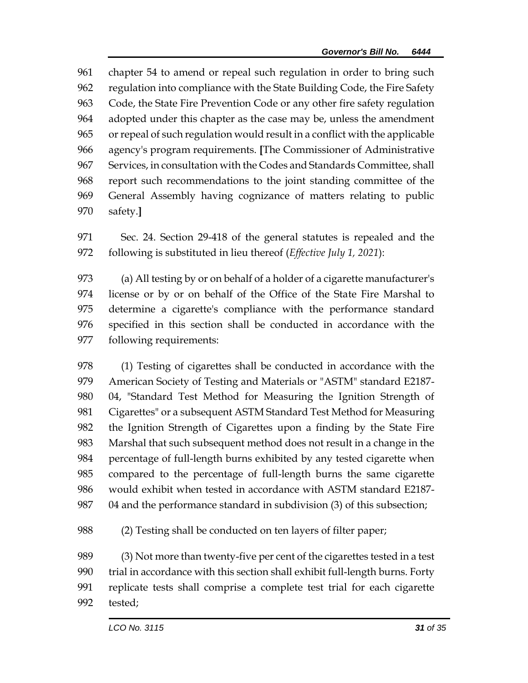chapter 54 to amend or repeal such regulation in order to bring such regulation into compliance with the State Building Code, the Fire Safety Code, the State Fire Prevention Code or any other fire safety regulation adopted under this chapter as the case may be, unless the amendment or repeal of such regulation would result in a conflict with the applicable agency's program requirements. **[**The Commissioner of Administrative Services, in consultation with the Codes and Standards Committee, shall report such recommendations to the joint standing committee of the General Assembly having cognizance of matters relating to public safety.**]**

 Sec. 24. Section 29-418 of the general statutes is repealed and the following is substituted in lieu thereof (*Effective July 1, 2021*):

 (a) All testing by or on behalf of a holder of a cigarette manufacturer's license or by or on behalf of the Office of the State Fire Marshal to determine a cigarette's compliance with the performance standard specified in this section shall be conducted in accordance with the following requirements:

 (1) Testing of cigarettes shall be conducted in accordance with the American Society of Testing and Materials or "ASTM" standard E2187- 04, "Standard Test Method for Measuring the Ignition Strength of Cigarettes" or a subsequent ASTM Standard Test Method for Measuring the Ignition Strength of Cigarettes upon a finding by the State Fire Marshal that such subsequent method does not result in a change in the percentage of full-length burns exhibited by any tested cigarette when compared to the percentage of full-length burns the same cigarette would exhibit when tested in accordance with ASTM standard E2187- 04 and the performance standard in subdivision (3) of this subsection;

(2) Testing shall be conducted on ten layers of filter paper;

 (3) Not more than twenty-five per cent of the cigarettes tested in a test trial in accordance with this section shall exhibit full-length burns. Forty replicate tests shall comprise a complete test trial for each cigarette tested;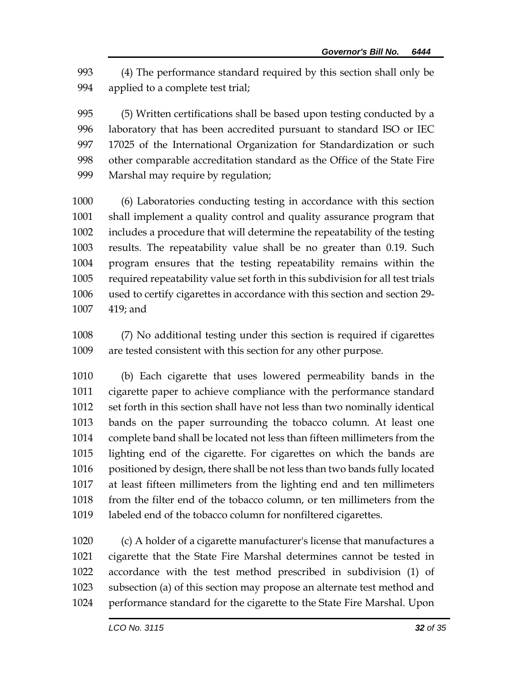(4) The performance standard required by this section shall only be applied to a complete test trial;

 (5) Written certifications shall be based upon testing conducted by a laboratory that has been accredited pursuant to standard ISO or IEC 17025 of the International Organization for Standardization or such other comparable accreditation standard as the Office of the State Fire Marshal may require by regulation;

 (6) Laboratories conducting testing in accordance with this section shall implement a quality control and quality assurance program that includes a procedure that will determine the repeatability of the testing results. The repeatability value shall be no greater than 0.19. Such program ensures that the testing repeatability remains within the required repeatability value set forth in this subdivision for all test trials used to certify cigarettes in accordance with this section and section 29- 419; and

 (7) No additional testing under this section is required if cigarettes are tested consistent with this section for any other purpose.

 (b) Each cigarette that uses lowered permeability bands in the cigarette paper to achieve compliance with the performance standard set forth in this section shall have not less than two nominally identical bands on the paper surrounding the tobacco column. At least one complete band shall be located not less than fifteen millimeters from the lighting end of the cigarette. For cigarettes on which the bands are 1016 positioned by design, there shall be not less than two bands fully located at least fifteen millimeters from the lighting end and ten millimeters from the filter end of the tobacco column, or ten millimeters from the labeled end of the tobacco column for nonfiltered cigarettes.

 (c) A holder of a cigarette manufacturer's license that manufactures a cigarette that the State Fire Marshal determines cannot be tested in accordance with the test method prescribed in subdivision (1) of subsection (a) of this section may propose an alternate test method and performance standard for the cigarette to the State Fire Marshal. Upon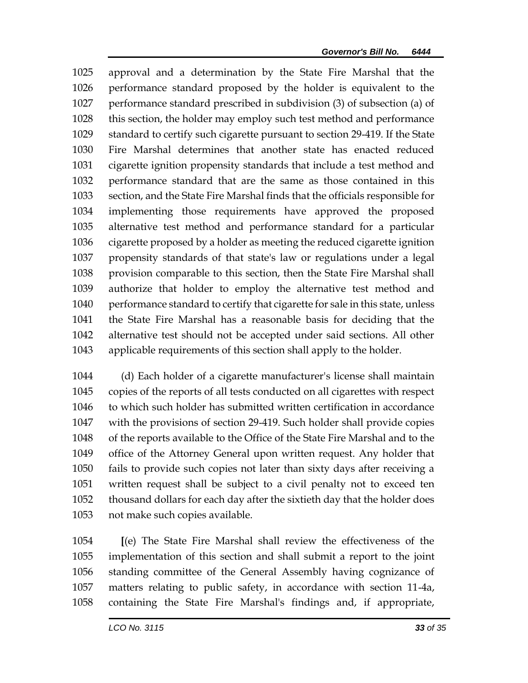approval and a determination by the State Fire Marshal that the performance standard proposed by the holder is equivalent to the performance standard prescribed in subdivision (3) of subsection (a) of this section, the holder may employ such test method and performance standard to certify such cigarette pursuant to section 29-419. If the State Fire Marshal determines that another state has enacted reduced cigarette ignition propensity standards that include a test method and performance standard that are the same as those contained in this section, and the State Fire Marshal finds that the officials responsible for implementing those requirements have approved the proposed alternative test method and performance standard for a particular cigarette proposed by a holder as meeting the reduced cigarette ignition propensity standards of that state's law or regulations under a legal provision comparable to this section, then the State Fire Marshal shall authorize that holder to employ the alternative test method and performance standard to certify that cigarette for sale in this state, unless the State Fire Marshal has a reasonable basis for deciding that the alternative test should not be accepted under said sections. All other applicable requirements of this section shall apply to the holder.

 (d) Each holder of a cigarette manufacturer's license shall maintain copies of the reports of all tests conducted on all cigarettes with respect to which such holder has submitted written certification in accordance with the provisions of section 29-419. Such holder shall provide copies of the reports available to the Office of the State Fire Marshal and to the office of the Attorney General upon written request. Any holder that fails to provide such copies not later than sixty days after receiving a written request shall be subject to a civil penalty not to exceed ten thousand dollars for each day after the sixtieth day that the holder does not make such copies available.

 **[**(e) The State Fire Marshal shall review the effectiveness of the implementation of this section and shall submit a report to the joint standing committee of the General Assembly having cognizance of matters relating to public safety, in accordance with section 11-4a, containing the State Fire Marshal's findings and, if appropriate,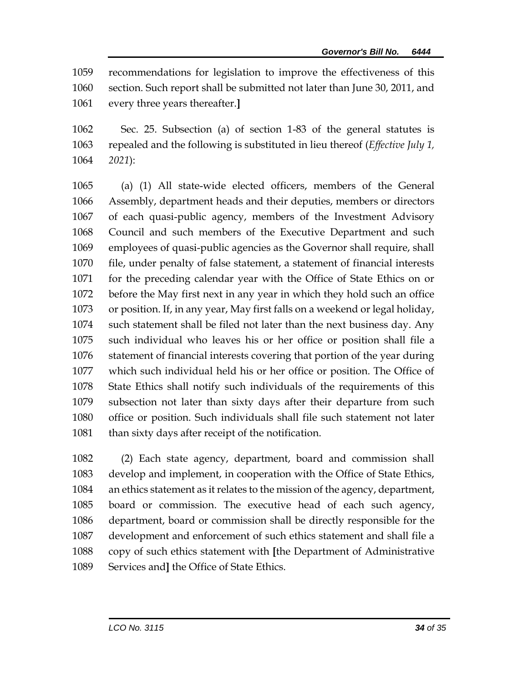recommendations for legislation to improve the effectiveness of this section. Such report shall be submitted not later than June 30, 2011, and every three years thereafter.**]**

 Sec. 25. Subsection (a) of section 1-83 of the general statutes is repealed and the following is substituted in lieu thereof (*Effective July 1, 2021*):

 (a) (1) All state-wide elected officers, members of the General Assembly, department heads and their deputies, members or directors of each quasi-public agency, members of the Investment Advisory Council and such members of the Executive Department and such employees of quasi-public agencies as the Governor shall require, shall file, under penalty of false statement, a statement of financial interests for the preceding calendar year with the Office of State Ethics on or before the May first next in any year in which they hold such an office or position. If, in any year, May first falls on a weekend or legal holiday, such statement shall be filed not later than the next business day. Any such individual who leaves his or her office or position shall file a statement of financial interests covering that portion of the year during which such individual held his or her office or position. The Office of State Ethics shall notify such individuals of the requirements of this subsection not later than sixty days after their departure from such office or position. Such individuals shall file such statement not later 1081 than sixty days after receipt of the notification.

 (2) Each state agency, department, board and commission shall develop and implement, in cooperation with the Office of State Ethics, an ethics statement as it relates to the mission of the agency, department, board or commission. The executive head of each such agency, department, board or commission shall be directly responsible for the development and enforcement of such ethics statement and shall file a copy of such ethics statement with **[**the Department of Administrative Services and**]** the Office of State Ethics.